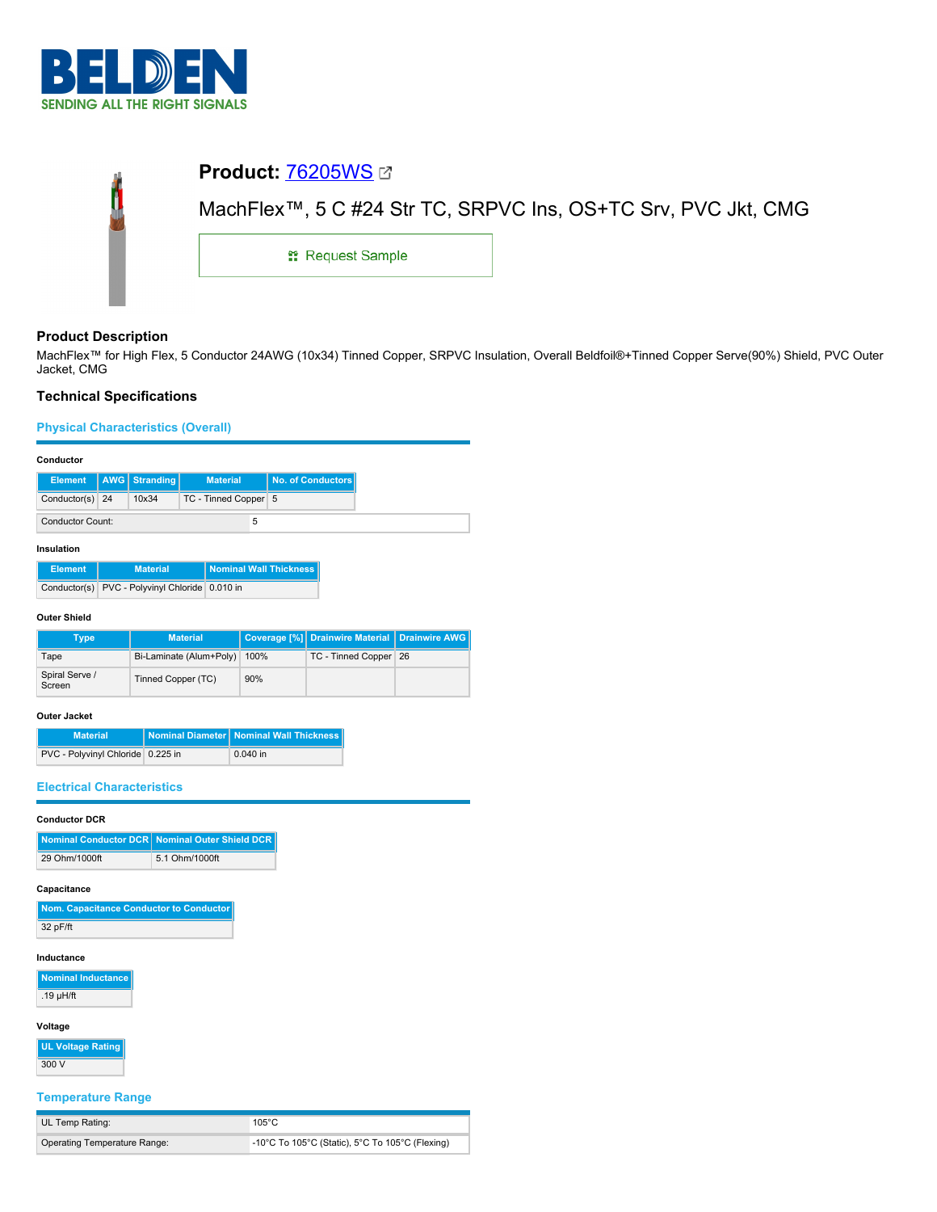

| <b>Product: 76205WS 27</b>                                    |  |  |
|---------------------------------------------------------------|--|--|
| MachFlex™, 5 C #24 Str TC, SRPVC Ins, OS+TC Srv, PVC Jkt, CMG |  |  |
| <b>: Request Sample</b>                                       |  |  |
|                                                               |  |  |

# **Product Description**

MachFlex™ for High Flex, 5 Conductor 24AWG (10x34) Tinned Copper, SRPVC Insulation, Overall Beldfoil®+Tinned Copper Serve(90%) Shield, PVC Outer Jacket, CMG

# **Technical Specifications**

**Physical Characteristics (Overall)**

## **Conductor**

|                         |  | Element   AWG Stranding | <b>Material</b>      |  | No. of Conductors |
|-------------------------|--|-------------------------|----------------------|--|-------------------|
| Conductor(s) 24         |  | 10x34                   | TC - Tinned Copper 5 |  |                   |
| <b>Conductor Count:</b> |  |                         | 5                    |  |                   |

## **Insulation**

| <b>Element</b> | <b>Material</b>                                | <b>Nominal Wall Thickness</b> |
|----------------|------------------------------------------------|-------------------------------|
|                | Conductor(s) PVC - Polyvinyl Chloride 0.010 in |                               |

## **Outer Shield**

| Type                     | <b>Material</b>         |      | Coverage [%] Drainwire Material Drainwire AWG |  |
|--------------------------|-------------------------|------|-----------------------------------------------|--|
| Tape                     | Bi-Laminate (Alum+Poly) | 100% | TC - Tinned Copper 26                         |  |
| Spiral Serve /<br>Screen | Tinned Copper (TC)      | 90%  |                                               |  |

# **Outer Jacket**

| <b>Material</b>                   | Nominal Diameter Nominal Wall Thickness |
|-----------------------------------|-----------------------------------------|
| PVC - Polyvinyl Chloride 0.225 in | $0.040$ in                              |

# **Electrical Characteristics**

# **Conductor DCR**

|               | Nominal Conductor DCR   Nominal Outer Shield DCR |
|---------------|--------------------------------------------------|
| 29 Ohm/1000ft | 5.1 Ohm/1000ft                                   |

#### **Capacitance**

| Nom. Capacitance Conductor to Conductor |
|-----------------------------------------|
| 32 pF/ft                                |

#### **Inductance**

**Nominal Inductance** .19 µH/ft

# **Voltage**

**UL Voltage Rating** 300 V

# **Temperature Range**

| UL Temp Rating:                     | 105°C                                           |
|-------------------------------------|-------------------------------------------------|
| <b>Operating Temperature Range:</b> | -10°C To 105°C (Static), 5°C To 105°C (Flexing) |